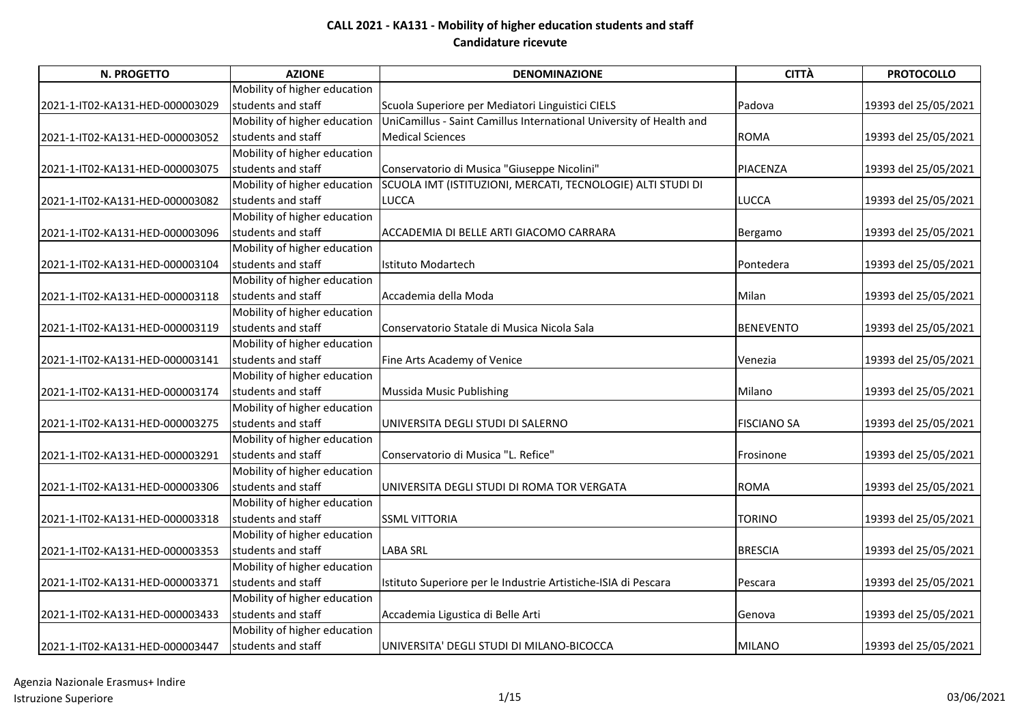| N. PROGETTO                     | <b>AZIONE</b>                | <b>DENOMINAZIONE</b>                                                | <b>CITTÀ</b>       | <b>PROTOCOLLO</b>    |
|---------------------------------|------------------------------|---------------------------------------------------------------------|--------------------|----------------------|
|                                 | Mobility of higher education |                                                                     |                    |                      |
| 2021-1-IT02-KA131-HED-000003029 | students and staff           | Scuola Superiore per Mediatori Linguistici CIELS                    | Padova             | 19393 del 25/05/2021 |
|                                 | Mobility of higher education | UniCamillus - Saint Camillus International University of Health and |                    |                      |
| 2021-1-IT02-KA131-HED-000003052 | students and staff           | <b>Medical Sciences</b>                                             | <b>ROMA</b>        | 19393 del 25/05/2021 |
|                                 | Mobility of higher education |                                                                     |                    |                      |
| 2021-1-IT02-KA131-HED-000003075 | students and staff           | Conservatorio di Musica "Giuseppe Nicolini"                         | <b>PIACENZA</b>    | 19393 del 25/05/2021 |
|                                 | Mobility of higher education | SCUOLA IMT (ISTITUZIONI, MERCATI, TECNOLOGIE) ALTI STUDI DI         |                    |                      |
| 2021-1-IT02-KA131-HED-000003082 | students and staff           | <b>LUCCA</b>                                                        | <b>LUCCA</b>       | 19393 del 25/05/2021 |
|                                 | Mobility of higher education |                                                                     |                    |                      |
| 2021-1-IT02-KA131-HED-000003096 | students and staff           | ACCADEMIA DI BELLE ARTI GIACOMO CARRARA                             | Bergamo            | 19393 del 25/05/2021 |
|                                 | Mobility of higher education |                                                                     |                    |                      |
| 2021-1-IT02-KA131-HED-000003104 | students and staff           | Istituto Modartech                                                  | Pontedera          | 19393 del 25/05/2021 |
|                                 | Mobility of higher education |                                                                     |                    |                      |
| 2021-1-IT02-KA131-HED-000003118 | students and staff           | Accademia della Moda                                                | Milan              | 19393 del 25/05/2021 |
|                                 | Mobility of higher education |                                                                     |                    |                      |
| 2021-1-IT02-KA131-HED-000003119 | students and staff           | Conservatorio Statale di Musica Nicola Sala                         | <b>BENEVENTO</b>   | 19393 del 25/05/2021 |
|                                 | Mobility of higher education |                                                                     |                    |                      |
| 2021-1-IT02-KA131-HED-000003141 | students and staff           | Fine Arts Academy of Venice                                         | Venezia            | 19393 del 25/05/2021 |
|                                 | Mobility of higher education |                                                                     |                    |                      |
| 2021-1-IT02-KA131-HED-000003174 | students and staff           | Mussida Music Publishing                                            | Milano             | 19393 del 25/05/2021 |
|                                 | Mobility of higher education |                                                                     |                    |                      |
| 2021-1-IT02-KA131-HED-000003275 | students and staff           | UNIVERSITA DEGLI STUDI DI SALERNO                                   | <b>FISCIANO SA</b> | 19393 del 25/05/2021 |
|                                 | Mobility of higher education |                                                                     |                    |                      |
| 2021-1-IT02-KA131-HED-000003291 | students and staff           | Conservatorio di Musica "L. Refice"                                 | Frosinone          | 19393 del 25/05/2021 |
|                                 | Mobility of higher education |                                                                     |                    |                      |
| 2021-1-IT02-KA131-HED-000003306 | students and staff           | UNIVERSITA DEGLI STUDI DI ROMA TOR VERGATA                          | <b>ROMA</b>        | 19393 del 25/05/2021 |
|                                 | Mobility of higher education |                                                                     |                    |                      |
| 2021-1-IT02-KA131-HED-000003318 | students and staff           | <b>SSML VITTORIA</b>                                                | <b>TORINO</b>      | 19393 del 25/05/2021 |
|                                 | Mobility of higher education |                                                                     |                    |                      |
| 2021-1-IT02-KA131-HED-000003353 | <b>Istudents and staff</b>   | <b>LABA SRL</b>                                                     | <b>BRESCIA</b>     | 19393 del 25/05/2021 |
|                                 | Mobility of higher education |                                                                     |                    |                      |
| 2021-1-IT02-KA131-HED-000003371 | students and staff           | Istituto Superiore per le Industrie Artistiche-ISIA di Pescara      | Pescara            | 19393 del 25/05/2021 |
|                                 | Mobility of higher education |                                                                     |                    |                      |
| 2021-1-IT02-KA131-HED-000003433 | students and staff           | Accademia Ligustica di Belle Arti                                   | Genova             | 19393 del 25/05/2021 |
|                                 | Mobility of higher education |                                                                     |                    |                      |
| 2021-1-IT02-KA131-HED-000003447 | students and staff           | UNIVERSITA' DEGLI STUDI DI MILANO-BICOCCA                           | <b>MILANO</b>      | 19393 del 25/05/2021 |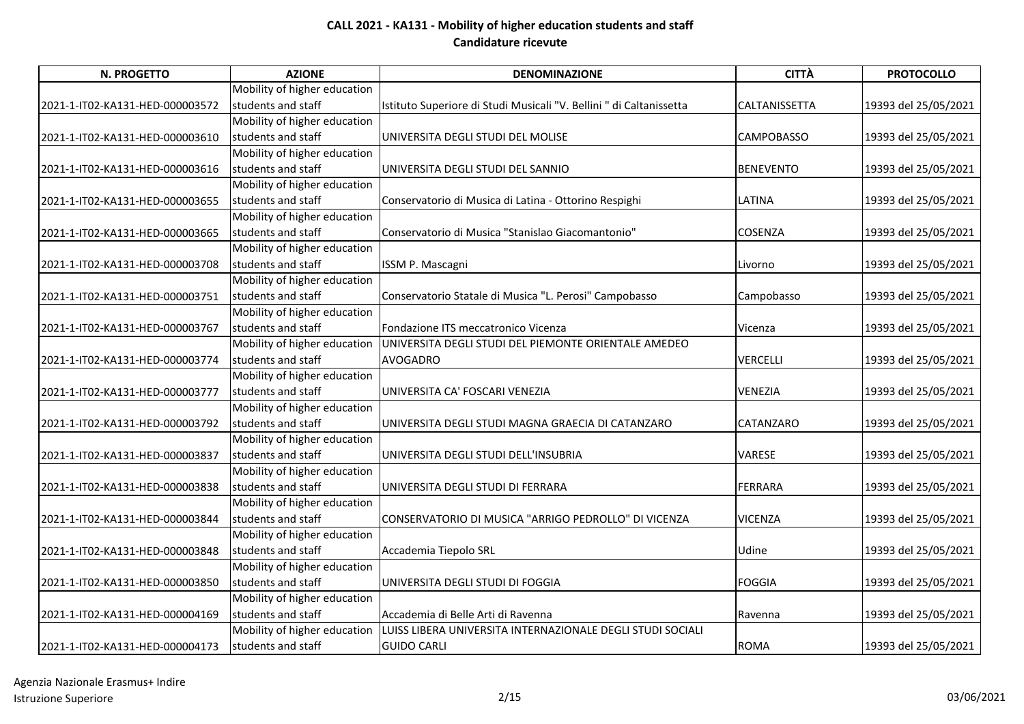| N. PROGETTO                     | <b>AZIONE</b>                | <b>DENOMINAZIONE</b>                                                | <b>CITTÀ</b>      | <b>PROTOCOLLO</b>    |
|---------------------------------|------------------------------|---------------------------------------------------------------------|-------------------|----------------------|
|                                 | Mobility of higher education |                                                                     |                   |                      |
| 2021-1-IT02-KA131-HED-000003572 | students and staff           | Istituto Superiore di Studi Musicali "V. Bellini " di Caltanissetta | CALTANISSETTA     | 19393 del 25/05/2021 |
|                                 | Mobility of higher education |                                                                     |                   |                      |
| 2021-1-IT02-KA131-HED-000003610 | students and staff           | UNIVERSITA DEGLI STUDI DEL MOLISE                                   | <b>CAMPOBASSO</b> | 19393 del 25/05/2021 |
|                                 | Mobility of higher education |                                                                     |                   |                      |
| 2021-1-IT02-KA131-HED-000003616 | students and staff           | UNIVERSITA DEGLI STUDI DEL SANNIO                                   | <b>BENEVENTO</b>  | 19393 del 25/05/2021 |
|                                 | Mobility of higher education |                                                                     |                   |                      |
| 2021-1-IT02-KA131-HED-000003655 | students and staff           | Conservatorio di Musica di Latina - Ottorino Respighi               | LATINA            | 19393 del 25/05/2021 |
|                                 | Mobility of higher education |                                                                     |                   |                      |
| 2021-1-IT02-KA131-HED-000003665 | students and staff           | Conservatorio di Musica "Stanislao Giacomantonio"                   | COSENZA           | 19393 del 25/05/2021 |
|                                 | Mobility of higher education |                                                                     |                   |                      |
| 2021-1-IT02-KA131-HED-000003708 | students and staff           | ISSM P. Mascagni                                                    | Livorno           | 19393 del 25/05/2021 |
|                                 | Mobility of higher education |                                                                     |                   |                      |
| 2021-1-IT02-KA131-HED-000003751 | students and staff           | Conservatorio Statale di Musica "L. Perosi" Campobasso              | Campobasso        | 19393 del 25/05/2021 |
|                                 | Mobility of higher education |                                                                     |                   |                      |
| 2021-1-IT02-KA131-HED-000003767 | students and staff           | Fondazione ITS meccatronico Vicenza                                 | Vicenza           | 19393 del 25/05/2021 |
|                                 | Mobility of higher education | UNIVERSITA DEGLI STUDI DEL PIEMONTE ORIENTALE AMEDEO                |                   |                      |
| 2021-1-IT02-KA131-HED-000003774 | students and staff           | <b>AVOGADRO</b>                                                     | <b>VERCELLI</b>   | 19393 del 25/05/2021 |
|                                 | Mobility of higher education |                                                                     |                   |                      |
| 2021-1-IT02-KA131-HED-000003777 | students and staff           | UNIVERSITA CA' FOSCARI VENEZIA                                      | <b>VENEZIA</b>    | 19393 del 25/05/2021 |
|                                 | Mobility of higher education |                                                                     |                   |                      |
| 2021-1-IT02-KA131-HED-000003792 | students and staff           | UNIVERSITA DEGLI STUDI MAGNA GRAECIA DI CATANZARO                   | CATANZARO         | 19393 del 25/05/2021 |
|                                 | Mobility of higher education |                                                                     |                   |                      |
| 2021-1-IT02-KA131-HED-000003837 | students and staff           | UNIVERSITA DEGLI STUDI DELL'INSUBRIA                                | VARESE            | 19393 del 25/05/2021 |
|                                 | Mobility of higher education |                                                                     |                   |                      |
| 2021-1-IT02-KA131-HED-000003838 | students and staff           | UNIVERSITA DEGLI STUDI DI FERRARA                                   | <b>FERRARA</b>    | 19393 del 25/05/2021 |
|                                 | Mobility of higher education |                                                                     |                   |                      |
| 2021-1-IT02-KA131-HED-000003844 | students and staff           | CONSERVATORIO DI MUSICA "ARRIGO PEDROLLO" DI VICENZA                | <b>VICENZA</b>    | 19393 del 25/05/2021 |
|                                 | Mobility of higher education |                                                                     |                   |                      |
| 2021-1-IT02-KA131-HED-000003848 | students and staff           | Accademia Tiepolo SRL                                               | Udine             | 19393 del 25/05/2021 |
|                                 | Mobility of higher education |                                                                     |                   |                      |
| 2021-1-IT02-KA131-HED-000003850 | <b>Istudents and staff</b>   | UNIVERSITA DEGLI STUDI DI FOGGIA                                    | <b>FOGGIA</b>     | 19393 del 25/05/2021 |
|                                 | Mobility of higher education |                                                                     |                   |                      |
| 2021-1-IT02-KA131-HED-000004169 | students and staff           | Accademia di Belle Arti di Ravenna                                  | Ravenna           | 19393 del 25/05/2021 |
|                                 | Mobility of higher education | LUISS LIBERA UNIVERSITA INTERNAZIONALE DEGLI STUDI SOCIALI          |                   |                      |
| 2021-1-IT02-KA131-HED-000004173 | students and staff           | <b>GUIDO CARLI</b>                                                  | <b>ROMA</b>       | 19393 del 25/05/2021 |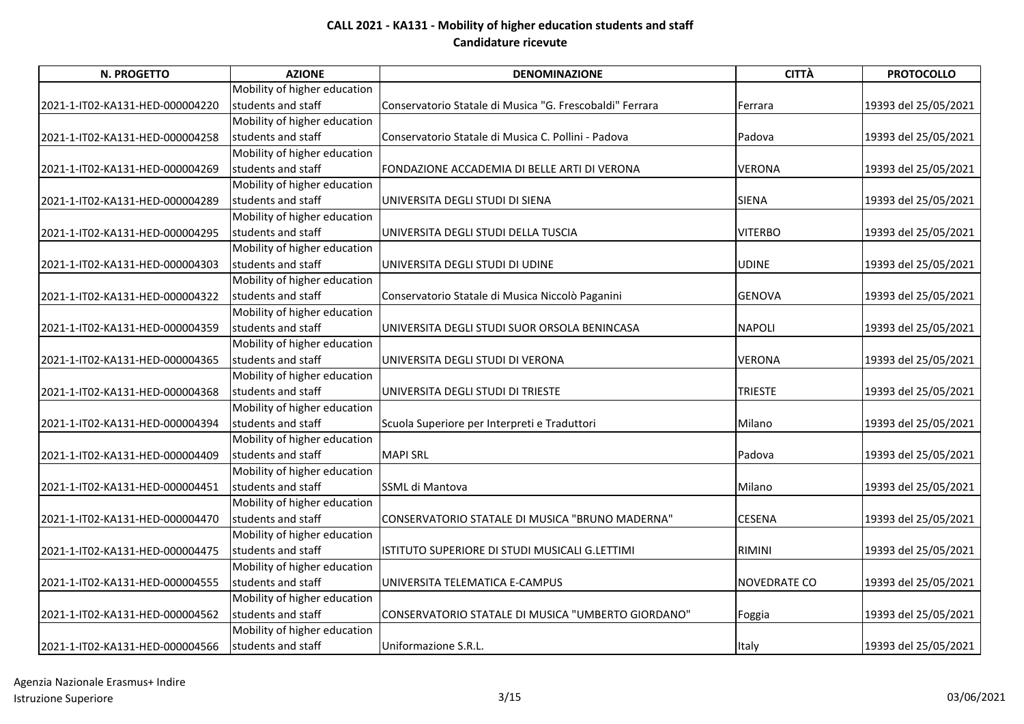| N. PROGETTO                     | <b>AZIONE</b>                | <b>DENOMINAZIONE</b>                                     | <b>CITTÀ</b>   | <b>PROTOCOLLO</b>    |
|---------------------------------|------------------------------|----------------------------------------------------------|----------------|----------------------|
|                                 | Mobility of higher education |                                                          |                |                      |
| 2021-1-IT02-KA131-HED-000004220 | students and staff           | Conservatorio Statale di Musica "G. Frescobaldi" Ferrara | Ferrara        | 19393 del 25/05/2021 |
|                                 | Mobility of higher education |                                                          |                |                      |
| 2021-1-IT02-KA131-HED-000004258 | students and staff           | Conservatorio Statale di Musica C. Pollini - Padova      | Padova         | 19393 del 25/05/2021 |
|                                 | Mobility of higher education |                                                          |                |                      |
| 2021-1-IT02-KA131-HED-000004269 | students and staff           | FONDAZIONE ACCADEMIA DI BELLE ARTI DI VERONA             | <b>VERONA</b>  | 19393 del 25/05/2021 |
|                                 | Mobility of higher education |                                                          |                |                      |
| 2021-1-IT02-KA131-HED-000004289 | students and staff           | UNIVERSITA DEGLI STUDI DI SIENA                          | <b>SIENA</b>   | 19393 del 25/05/2021 |
|                                 | Mobility of higher education |                                                          |                |                      |
| 2021-1-IT02-KA131-HED-000004295 | students and staff           | UNIVERSITA DEGLI STUDI DELLA TUSCIA                      | <b>VITERBO</b> | 19393 del 25/05/2021 |
|                                 | Mobility of higher education |                                                          |                |                      |
| 2021-1-IT02-KA131-HED-000004303 | students and staff           | UNIVERSITA DEGLI STUDI DI UDINE                          | <b>UDINE</b>   | 19393 del 25/05/2021 |
|                                 | Mobility of higher education |                                                          |                |                      |
| 2021-1-IT02-KA131-HED-000004322 | students and staff           | Conservatorio Statale di Musica Niccolò Paganini         | <b>GENOVA</b>  | 19393 del 25/05/2021 |
|                                 | Mobility of higher education |                                                          |                |                      |
| 2021-1-IT02-KA131-HED-000004359 | students and staff           | UNIVERSITA DEGLI STUDI SUOR ORSOLA BENINCASA             | <b>NAPOLI</b>  | 19393 del 25/05/2021 |
|                                 | Mobility of higher education |                                                          |                |                      |
| 2021-1-IT02-KA131-HED-000004365 | students and staff           | UNIVERSITA DEGLI STUDI DI VERONA                         | VERONA         | 19393 del 25/05/2021 |
|                                 | Mobility of higher education |                                                          |                |                      |
| 2021-1-IT02-KA131-HED-000004368 | students and staff           | UNIVERSITA DEGLI STUDI DI TRIESTE                        | <b>TRIESTE</b> | 19393 del 25/05/2021 |
|                                 | Mobility of higher education |                                                          |                |                      |
| 2021-1-IT02-KA131-HED-000004394 | students and staff           | Scuola Superiore per Interpreti e Traduttori             | Milano         | 19393 del 25/05/2021 |
|                                 | Mobility of higher education |                                                          |                |                      |
| 2021-1-IT02-KA131-HED-000004409 | students and staff           | <b>MAPI SRL</b>                                          | Padova         | 19393 del 25/05/2021 |
|                                 | Mobility of higher education |                                                          |                |                      |
| 2021-1-IT02-KA131-HED-000004451 | students and staff           | SSML di Mantova                                          | Milano         | 19393 del 25/05/2021 |
|                                 | Mobility of higher education |                                                          |                |                      |
| 2021-1-IT02-KA131-HED-000004470 | students and staff           | CONSERVATORIO STATALE DI MUSICA "BRUNO MADERNA"          | <b>CESENA</b>  | 19393 del 25/05/2021 |
|                                 | Mobility of higher education |                                                          |                |                      |
| 2021-1-IT02-KA131-HED-000004475 | students and staff           | ISTITUTO SUPERIORE DI STUDI MUSICALI G.LETTIMI           | <b>RIMINI</b>  | 19393 del 25/05/2021 |
|                                 | Mobility of higher education |                                                          |                |                      |
| 2021-1-IT02-KA131-HED-000004555 | students and staff           | UNIVERSITA TELEMATICA E-CAMPUS                           | NOVEDRATE CO   | 19393 del 25/05/2021 |
|                                 | Mobility of higher education |                                                          |                |                      |
| 2021-1-IT02-KA131-HED-000004562 | students and staff           | CONSERVATORIO STATALE DI MUSICA "UMBERTO GIORDANO"       | Foggia         | 19393 del 25/05/2021 |
|                                 | Mobility of higher education |                                                          |                |                      |
| 2021-1-IT02-KA131-HED-000004566 | students and staff           | Uniformazione S.R.L.                                     | Italy          | 19393 del 25/05/2021 |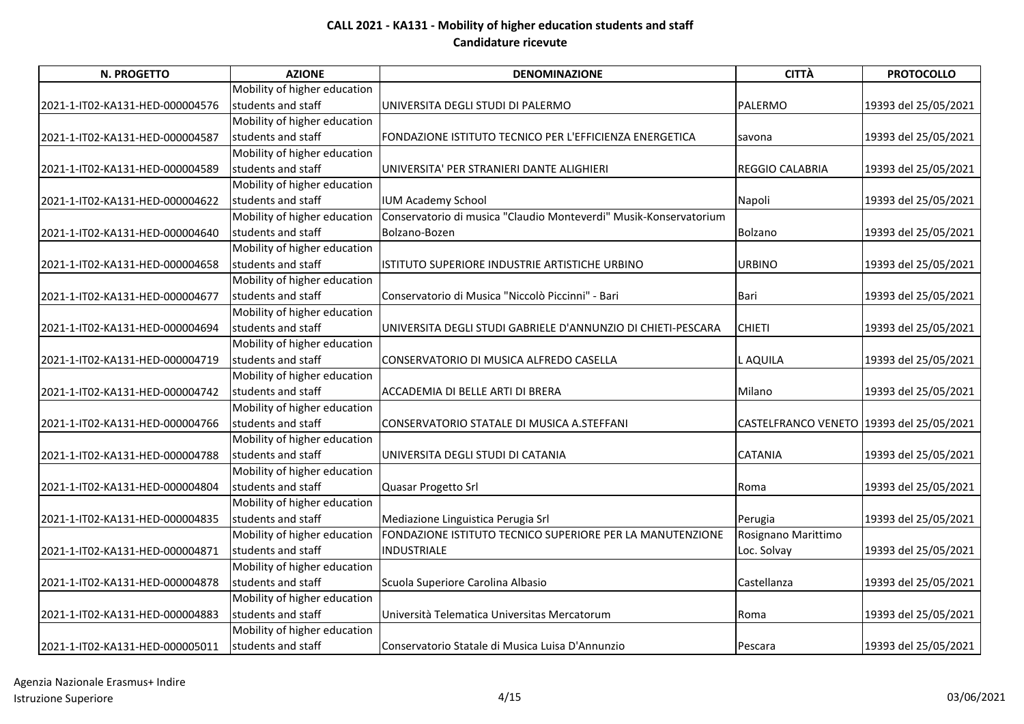| <b>N. PROGETTO</b>              | <b>AZIONE</b>                | <b>DENOMINAZIONE</b>                                              | <b>CITTÀ</b>                             | <b>PROTOCOLLO</b>    |
|---------------------------------|------------------------------|-------------------------------------------------------------------|------------------------------------------|----------------------|
|                                 | Mobility of higher education |                                                                   |                                          |                      |
| 2021-1-IT02-KA131-HED-000004576 | students and staff           | UNIVERSITA DEGLI STUDI DI PALERMO                                 | <b>PALERMO</b>                           | 19393 del 25/05/2021 |
|                                 | Mobility of higher education |                                                                   |                                          |                      |
| 2021-1-IT02-KA131-HED-000004587 | students and staff           | FONDAZIONE ISTITUTO TECNICO PER L'EFFICIENZA ENERGETICA           | savona                                   | 19393 del 25/05/2021 |
|                                 | Mobility of higher education |                                                                   |                                          |                      |
| 2021-1-IT02-KA131-HED-000004589 | students and staff           | UNIVERSITA' PER STRANIERI DANTE ALIGHIERI                         | REGGIO CALABRIA                          | 19393 del 25/05/2021 |
|                                 | Mobility of higher education |                                                                   |                                          |                      |
| 2021-1-IT02-KA131-HED-000004622 | students and staff           | <b>IUM Academy School</b>                                         | Napoli                                   | 19393 del 25/05/2021 |
|                                 | Mobility of higher education | Conservatorio di musica "Claudio Monteverdi" Musik-Konservatorium |                                          |                      |
| 2021-1-IT02-KA131-HED-000004640 | students and staff           | Bolzano-Bozen                                                     | Bolzano                                  | 19393 del 25/05/2021 |
|                                 | Mobility of higher education |                                                                   |                                          |                      |
| 2021-1-IT02-KA131-HED-000004658 | students and staff           | ISTITUTO SUPERIORE INDUSTRIE ARTISTICHE URBINO                    | <b>URBINO</b>                            | 19393 del 25/05/2021 |
|                                 | Mobility of higher education |                                                                   |                                          |                      |
| 2021-1-IT02-KA131-HED-000004677 | students and staff           | Conservatorio di Musica "Niccolò Piccinni" - Bari                 | Bari                                     | 19393 del 25/05/2021 |
|                                 | Mobility of higher education |                                                                   |                                          |                      |
| 2021-1-IT02-KA131-HED-000004694 | students and staff           | UNIVERSITA DEGLI STUDI GABRIELE D'ANNUNZIO DI CHIETI-PESCARA      | <b>CHIETI</b>                            | 19393 del 25/05/2021 |
|                                 | Mobility of higher education |                                                                   |                                          |                      |
| 2021-1-IT02-KA131-HED-000004719 | students and staff           | CONSERVATORIO DI MUSICA ALFREDO CASELLA                           | L AQUILA                                 | 19393 del 25/05/2021 |
|                                 | Mobility of higher education |                                                                   |                                          |                      |
| 2021-1-IT02-KA131-HED-000004742 | students and staff           | ACCADEMIA DI BELLE ARTI DI BRERA                                  | Milano                                   | 19393 del 25/05/2021 |
|                                 | Mobility of higher education |                                                                   |                                          |                      |
| 2021-1-IT02-KA131-HED-000004766 | students and staff           | CONSERVATORIO STATALE DI MUSICA A.STEFFANI                        | CASTELFRANCO VENETO 19393 del 25/05/2021 |                      |
|                                 | Mobility of higher education |                                                                   |                                          |                      |
| 2021-1-IT02-KA131-HED-000004788 | students and staff           | UNIVERSITA DEGLI STUDI DI CATANIA                                 | <b>CATANIA</b>                           | 19393 del 25/05/2021 |
|                                 | Mobility of higher education |                                                                   |                                          |                      |
| 2021-1-IT02-KA131-HED-000004804 | students and staff           | Quasar Progetto Srl                                               | Roma                                     | 19393 del 25/05/2021 |
|                                 | Mobility of higher education |                                                                   |                                          |                      |
| 2021-1-IT02-KA131-HED-000004835 | students and staff           | Mediazione Linguistica Perugia Srl                                | Perugia                                  | 19393 del 25/05/2021 |
|                                 | Mobility of higher education | FONDAZIONE ISTITUTO TECNICO SUPERIORE PER LA MANUTENZIONE         | Rosignano Marittimo                      |                      |
| 2021-1-IT02-KA131-HED-000004871 | students and staff           | INDUSTRIALE                                                       | Loc. Solvay                              | 19393 del 25/05/2021 |
|                                 | Mobility of higher education |                                                                   |                                          |                      |
| 2021-1-IT02-KA131-HED-000004878 | students and staff           | Scuola Superiore Carolina Albasio                                 | Castellanza                              | 19393 del 25/05/2021 |
|                                 | Mobility of higher education |                                                                   |                                          |                      |
| 2021-1-IT02-KA131-HED-000004883 | students and staff           | Università Telematica Universitas Mercatorum                      | Roma                                     | 19393 del 25/05/2021 |
|                                 | Mobility of higher education |                                                                   |                                          |                      |
| 2021-1-IT02-KA131-HED-000005011 | students and staff           | Conservatorio Statale di Musica Luisa D'Annunzio                  | Pescara                                  | 19393 del 25/05/2021 |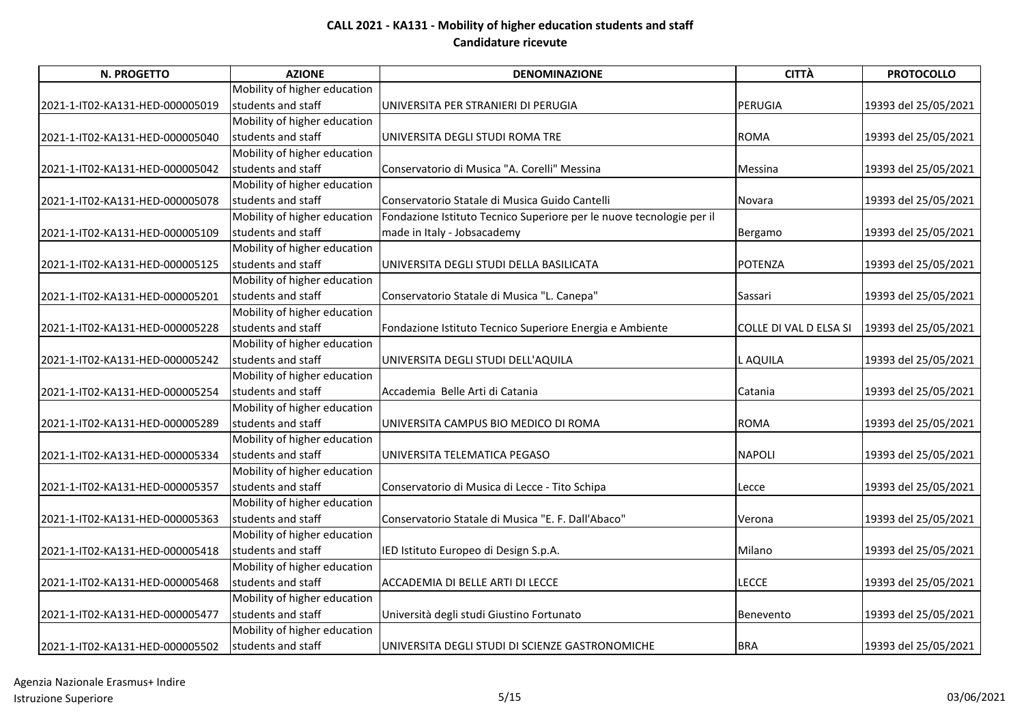| N. PROGETTO                     | <b>AZIONE</b>                | <b>DENOMINAZIONE</b>                                                 | <b>CITTÀ</b>           | <b>PROTOCOLLO</b>    |
|---------------------------------|------------------------------|----------------------------------------------------------------------|------------------------|----------------------|
|                                 | Mobility of higher education |                                                                      |                        |                      |
| 2021-1-IT02-KA131-HED-000005019 | students and staff           | UNIVERSITA PER STRANIERI DI PERUGIA                                  | <b>PERUGIA</b>         | 19393 del 25/05/2021 |
|                                 | Mobility of higher education |                                                                      |                        |                      |
| 2021-1-IT02-KA131-HED-000005040 | students and staff           | UNIVERSITA DEGLI STUDI ROMA TRE                                      | <b>ROMA</b>            | 19393 del 25/05/2021 |
|                                 | Mobility of higher education |                                                                      |                        |                      |
| 2021-1-IT02-KA131-HED-000005042 | students and staff           | Conservatorio di Musica "A. Corelli" Messina                         | Messina                | 19393 del 25/05/2021 |
|                                 | Mobility of higher education |                                                                      |                        |                      |
| 2021-1-IT02-KA131-HED-000005078 | students and staff           | Conservatorio Statale di Musica Guido Cantelli                       | Novara                 | 19393 del 25/05/2021 |
|                                 | Mobility of higher education | Fondazione Istituto Tecnico Superiore per le nuove tecnologie per il |                        |                      |
| 2021-1-IT02-KA131-HED-000005109 | students and staff           | made in Italy - Jobsacademy                                          | Bergamo                | 19393 del 25/05/2021 |
|                                 | Mobility of higher education |                                                                      |                        |                      |
| 2021-1-IT02-KA131-HED-000005125 | students and staff           | UNIVERSITA DEGLI STUDI DELLA BASILICATA                              | <b>POTENZA</b>         | 19393 del 25/05/2021 |
|                                 | Mobility of higher education |                                                                      |                        |                      |
| 2021-1-IT02-KA131-HED-000005201 | students and staff           | Conservatorio Statale di Musica "L. Canepa"                          | Sassari                | 19393 del 25/05/2021 |
|                                 | Mobility of higher education |                                                                      |                        |                      |
| 2021-1-IT02-KA131-HED-000005228 | students and staff           | Fondazione Istituto Tecnico Superiore Energia e Ambiente             | COLLE DI VAL D ELSA SI | 19393 del 25/05/2021 |
|                                 | Mobility of higher education |                                                                      |                        |                      |
| 2021-1-IT02-KA131-HED-000005242 | students and staff           | UNIVERSITA DEGLI STUDI DELL'AQUILA                                   | L AQUILA               | 19393 del 25/05/2021 |
|                                 | Mobility of higher education |                                                                      |                        |                      |
| 2021-1-IT02-KA131-HED-000005254 | students and staff           | Accademia Belle Arti di Catania                                      | Catania                | 19393 del 25/05/2021 |
|                                 | Mobility of higher education |                                                                      |                        |                      |
| 2021-1-IT02-KA131-HED-000005289 | students and staff           | UNIVERSITA CAMPUS BIO MEDICO DI ROMA                                 | <b>ROMA</b>            | 19393 del 25/05/2021 |
|                                 | Mobility of higher education |                                                                      |                        |                      |
| 2021-1-IT02-KA131-HED-000005334 | students and staff           | UNIVERSITA TELEMATICA PEGASO                                         | <b>NAPOLI</b>          | 19393 del 25/05/2021 |
|                                 | Mobility of higher education |                                                                      |                        |                      |
| 2021-1-IT02-KA131-HED-000005357 | students and staff           | Conservatorio di Musica di Lecce - Tito Schipa                       | Lecce                  | 19393 del 25/05/2021 |
|                                 | Mobility of higher education |                                                                      |                        |                      |
| 2021-1-IT02-KA131-HED-000005363 | students and staff           | Conservatorio Statale di Musica "E. F. Dall'Abaco"                   | Verona                 | 19393 del 25/05/2021 |
|                                 | Mobility of higher education |                                                                      |                        |                      |
| 2021-1-IT02-KA131-HED-000005418 | students and staff           | IED Istituto Europeo di Design S.p.A.                                | Milano                 | 19393 del 25/05/2021 |
|                                 | Mobility of higher education |                                                                      |                        |                      |
| 2021-1-IT02-KA131-HED-000005468 | students and staff           | ACCADEMIA DI BELLE ARTI DI LECCE                                     | LECCE                  | 19393 del 25/05/2021 |
|                                 | Mobility of higher education |                                                                      |                        |                      |
| 2021-1-IT02-KA131-HED-000005477 | students and staff           | Università degli studi Giustino Fortunato                            | Benevento              | 19393 del 25/05/2021 |
|                                 | Mobility of higher education |                                                                      |                        |                      |
| 2021-1-IT02-KA131-HED-000005502 | students and staff           | UNIVERSITA DEGLI STUDI DI SCIENZE GASTRONOMICHE                      | <b>BRA</b>             | 19393 del 25/05/2021 |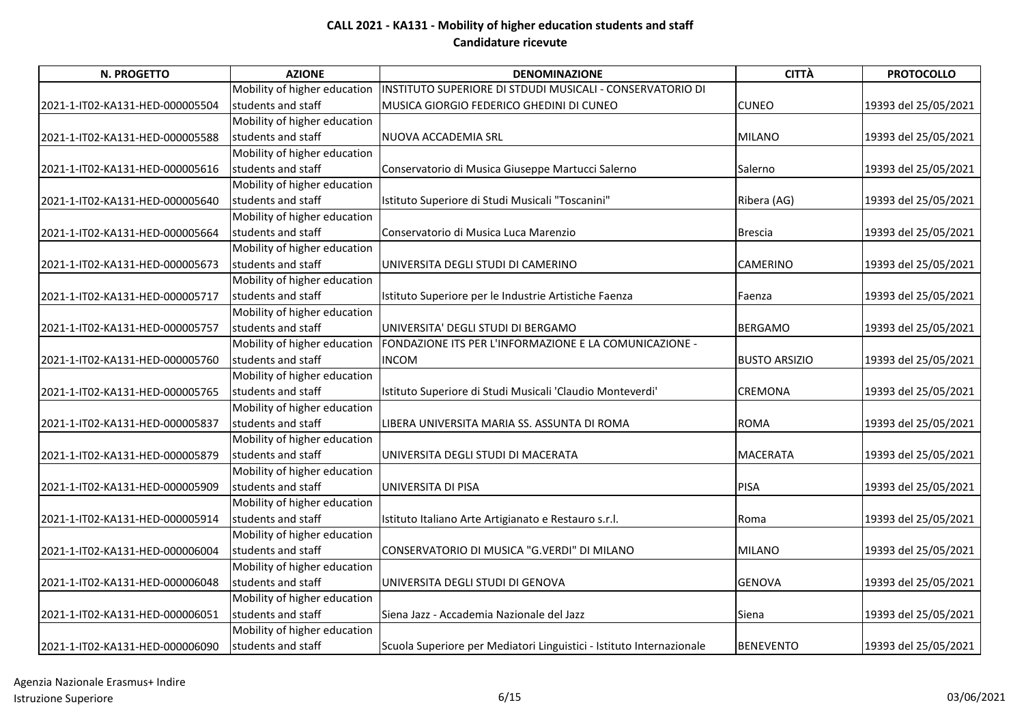| N. PROGETTO                     | <b>AZIONE</b>                | <b>DENOMINAZIONE</b>                                                 | <b>CITTÀ</b>         | <b>PROTOCOLLO</b>    |
|---------------------------------|------------------------------|----------------------------------------------------------------------|----------------------|----------------------|
|                                 | Mobility of higher education | INSTITUTO SUPERIORE DI STDUDI MUSICALI - CONSERVATORIO DI            |                      |                      |
| 2021-1-IT02-KA131-HED-000005504 | students and staff           | MUSICA GIORGIO FEDERICO GHEDINI DI CUNEO                             | <b>CUNEO</b>         | 19393 del 25/05/2021 |
|                                 | Mobility of higher education |                                                                      |                      |                      |
| 2021-1-IT02-KA131-HED-000005588 | students and staff           | NUOVA ACCADEMIA SRL                                                  | <b>MILANO</b>        | 19393 del 25/05/2021 |
|                                 | Mobility of higher education |                                                                      |                      |                      |
| 2021-1-IT02-KA131-HED-000005616 | students and staff           | Conservatorio di Musica Giuseppe Martucci Salerno                    | Salerno              | 19393 del 25/05/2021 |
|                                 | Mobility of higher education |                                                                      |                      |                      |
| 2021-1-IT02-KA131-HED-000005640 | students and staff           | Istituto Superiore di Studi Musicali "Toscanini"                     | Ribera (AG)          | 19393 del 25/05/2021 |
|                                 | Mobility of higher education |                                                                      |                      |                      |
| 2021-1-IT02-KA131-HED-000005664 | students and staff           | Conservatorio di Musica Luca Marenzio                                | <b>Brescia</b>       | 19393 del 25/05/2021 |
|                                 | Mobility of higher education |                                                                      |                      |                      |
| 2021-1-IT02-KA131-HED-000005673 | students and staff           | UNIVERSITA DEGLI STUDI DI CAMERINO                                   | CAMERINO             | 19393 del 25/05/2021 |
|                                 | Mobility of higher education |                                                                      |                      |                      |
| 2021-1-IT02-KA131-HED-000005717 | students and staff           | Istituto Superiore per le Industrie Artistiche Faenza                | Faenza               | 19393 del 25/05/2021 |
|                                 | Mobility of higher education |                                                                      |                      |                      |
| 2021-1-IT02-KA131-HED-000005757 | students and staff           | UNIVERSITA' DEGLI STUDI DI BERGAMO                                   | <b>BERGAMO</b>       | 19393 del 25/05/2021 |
|                                 | Mobility of higher education | FONDAZIONE ITS PER L'INFORMAZIONE E LA COMUNICAZIONE -               |                      |                      |
| 2021-1-IT02-KA131-HED-000005760 | students and staff           | <b>INCOM</b>                                                         | <b>BUSTO ARSIZIO</b> | 19393 del 25/05/2021 |
|                                 | Mobility of higher education |                                                                      |                      |                      |
| 2021-1-IT02-KA131-HED-000005765 | students and staff           | Istituto Superiore di Studi Musicali 'Claudio Monteverdi'            | <b>CREMONA</b>       | 19393 del 25/05/2021 |
|                                 | Mobility of higher education |                                                                      |                      |                      |
| 2021-1-IT02-KA131-HED-000005837 | students and staff           | LIBERA UNIVERSITA MARIA SS. ASSUNTA DI ROMA                          | <b>ROMA</b>          | 19393 del 25/05/2021 |
|                                 | Mobility of higher education |                                                                      |                      |                      |
| 2021-1-IT02-KA131-HED-000005879 | students and staff           | UNIVERSITA DEGLI STUDI DI MACERATA                                   | <b>MACERATA</b>      | 19393 del 25/05/2021 |
|                                 | Mobility of higher education |                                                                      |                      |                      |
| 2021-1-IT02-KA131-HED-000005909 | students and staff           | UNIVERSITA DI PISA                                                   | <b>PISA</b>          | 19393 del 25/05/2021 |
|                                 | Mobility of higher education |                                                                      |                      |                      |
| 2021-1-IT02-KA131-HED-000005914 | students and staff           | Istituto Italiano Arte Artigianato e Restauro s.r.l.                 | Roma                 | 19393 del 25/05/2021 |
|                                 | Mobility of higher education |                                                                      |                      |                      |
| 2021-1-IT02-KA131-HED-000006004 | students and staff           | CONSERVATORIO DI MUSICA "G.VERDI" DI MILANO                          | <b>MILANO</b>        | 19393 del 25/05/2021 |
|                                 | Mobility of higher education |                                                                      |                      |                      |
| 2021-1-IT02-KA131-HED-000006048 | students and staff           | UNIVERSITA DEGLI STUDI DI GENOVA                                     | <b>GENOVA</b>        | 19393 del 25/05/2021 |
|                                 | Mobility of higher education |                                                                      |                      |                      |
| 2021-1-IT02-KA131-HED-000006051 | students and staff           | Siena Jazz - Accademia Nazionale del Jazz                            | Siena                | 19393 del 25/05/2021 |
|                                 | Mobility of higher education |                                                                      |                      |                      |
| 2021-1-IT02-KA131-HED-000006090 | students and staff           | Scuola Superiore per Mediatori Linguistici - Istituto Internazionale | <b>BENEVENTO</b>     | 19393 del 25/05/2021 |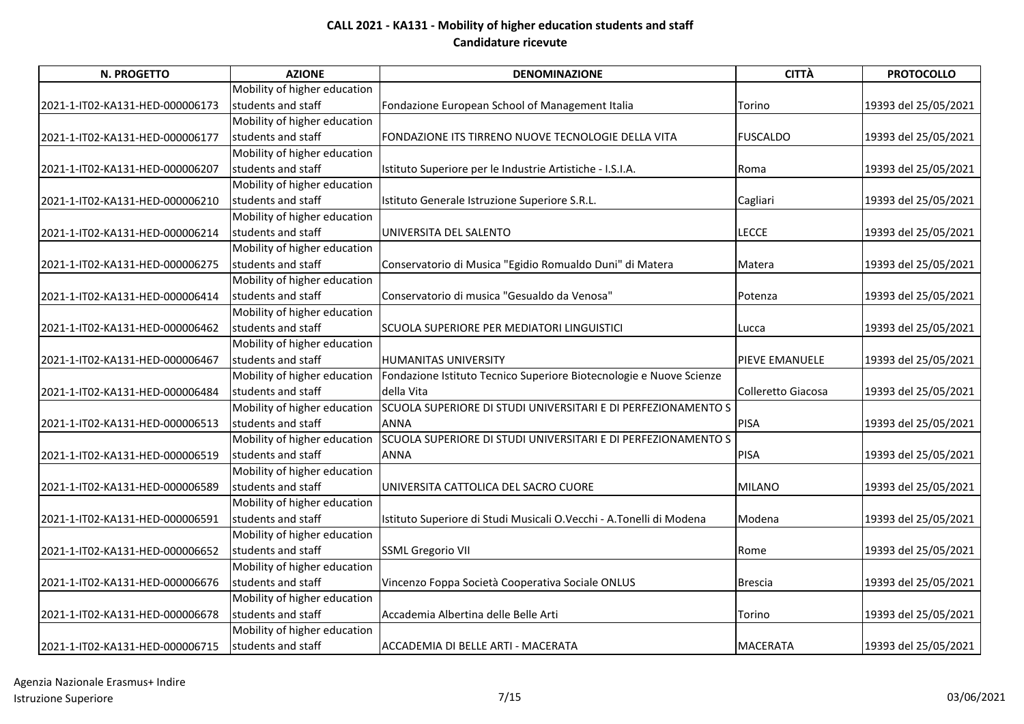| <b>N. PROGETTO</b>              | <b>AZIONE</b>                | <b>DENOMINAZIONE</b>                                                | <b>CITTÀ</b>       | <b>PROTOCOLLO</b>    |
|---------------------------------|------------------------------|---------------------------------------------------------------------|--------------------|----------------------|
|                                 | Mobility of higher education |                                                                     |                    |                      |
| 2021-1-IT02-KA131-HED-000006173 | students and staff           | Fondazione European School of Management Italia                     | Torino             | 19393 del 25/05/2021 |
|                                 | Mobility of higher education |                                                                     |                    |                      |
| 2021-1-IT02-KA131-HED-000006177 | students and staff           | FONDAZIONE ITS TIRRENO NUOVE TECNOLOGIE DELLA VITA                  | <b>FUSCALDO</b>    | 19393 del 25/05/2021 |
|                                 | Mobility of higher education |                                                                     |                    |                      |
| 2021-1-IT02-KA131-HED-000006207 | students and staff           | Istituto Superiore per le Industrie Artistiche - I.S.I.A.           | Roma               | 19393 del 25/05/2021 |
|                                 | Mobility of higher education |                                                                     |                    |                      |
| 2021-1-IT02-KA131-HED-000006210 | students and staff           | Istituto Generale Istruzione Superiore S.R.L.                       | Cagliari           | 19393 del 25/05/2021 |
|                                 | Mobility of higher education |                                                                     |                    |                      |
| 2021-1-IT02-KA131-HED-000006214 | students and staff           | UNIVERSITA DEL SALENTO                                              | <b>LECCE</b>       | 19393 del 25/05/2021 |
|                                 | Mobility of higher education |                                                                     |                    |                      |
| 2021-1-IT02-KA131-HED-000006275 | students and staff           | Conservatorio di Musica "Egidio Romualdo Duni" di Matera            | Matera             | 19393 del 25/05/2021 |
|                                 | Mobility of higher education |                                                                     |                    |                      |
| 2021-1-IT02-KA131-HED-000006414 | students and staff           | Conservatorio di musica "Gesualdo da Venosa"                        | Potenza            | 19393 del 25/05/2021 |
|                                 | Mobility of higher education |                                                                     |                    |                      |
| 2021-1-IT02-KA131-HED-000006462 | students and staff           | SCUOLA SUPERIORE PER MEDIATORI LINGUISTICI                          | Lucca              | 19393 del 25/05/2021 |
|                                 | Mobility of higher education |                                                                     |                    |                      |
| 2021-1-IT02-KA131-HED-000006467 | students and staff           | HUMANITAS UNIVERSITY                                                | PIEVE EMANUELE     | 19393 del 25/05/2021 |
|                                 | Mobility of higher education | Fondazione Istituto Tecnico Superiore Biotecnologie e Nuove Scienze |                    |                      |
| 2021-1-IT02-KA131-HED-000006484 | students and staff           | della Vita                                                          | Colleretto Giacosa | 19393 del 25/05/2021 |
|                                 | Mobility of higher education | SCUOLA SUPERIORE DI STUDI UNIVERSITARI E DI PERFEZIONAMENTO S       |                    |                      |
| 2021-1-IT02-KA131-HED-000006513 | students and staff           | <b>ANNA</b>                                                         | <b>PISA</b>        | 19393 del 25/05/2021 |
|                                 | Mobility of higher education | SCUOLA SUPERIORE DI STUDI UNIVERSITARI E DI PERFEZIONAMENTO S       |                    |                      |
| 2021-1-IT02-KA131-HED-000006519 | students and staff           | <b>ANNA</b>                                                         | <b>PISA</b>        | 19393 del 25/05/2021 |
|                                 | Mobility of higher education |                                                                     |                    |                      |
| 2021-1-IT02-KA131-HED-000006589 | students and staff           | UNIVERSITA CATTOLICA DEL SACRO CUORE                                | <b>MILANO</b>      | 19393 del 25/05/2021 |
|                                 | Mobility of higher education |                                                                     |                    |                      |
| 2021-1-IT02-KA131-HED-000006591 | students and staff           | Istituto Superiore di Studi Musicali O.Vecchi - A.Tonelli di Modena | Modena             | 19393 del 25/05/2021 |
|                                 | Mobility of higher education |                                                                     |                    |                      |
| 2021-1-IT02-KA131-HED-000006652 | students and staff           | <b>SSML Gregorio VII</b>                                            | Rome               | 19393 del 25/05/2021 |
|                                 | Mobility of higher education |                                                                     |                    |                      |
| 2021-1-IT02-KA131-HED-000006676 | students and staff           | Vincenzo Foppa Società Cooperativa Sociale ONLUS                    | <b>Brescia</b>     | 19393 del 25/05/2021 |
|                                 | Mobility of higher education |                                                                     |                    |                      |
| 2021-1-IT02-KA131-HED-000006678 | students and staff           | Accademia Albertina delle Belle Arti                                | Torino             | 19393 del 25/05/2021 |
|                                 | Mobility of higher education |                                                                     |                    |                      |
| 2021-1-IT02-KA131-HED-000006715 | students and staff           | ACCADEMIA DI BELLE ARTI - MACERATA                                  | <b>MACERATA</b>    | 19393 del 25/05/2021 |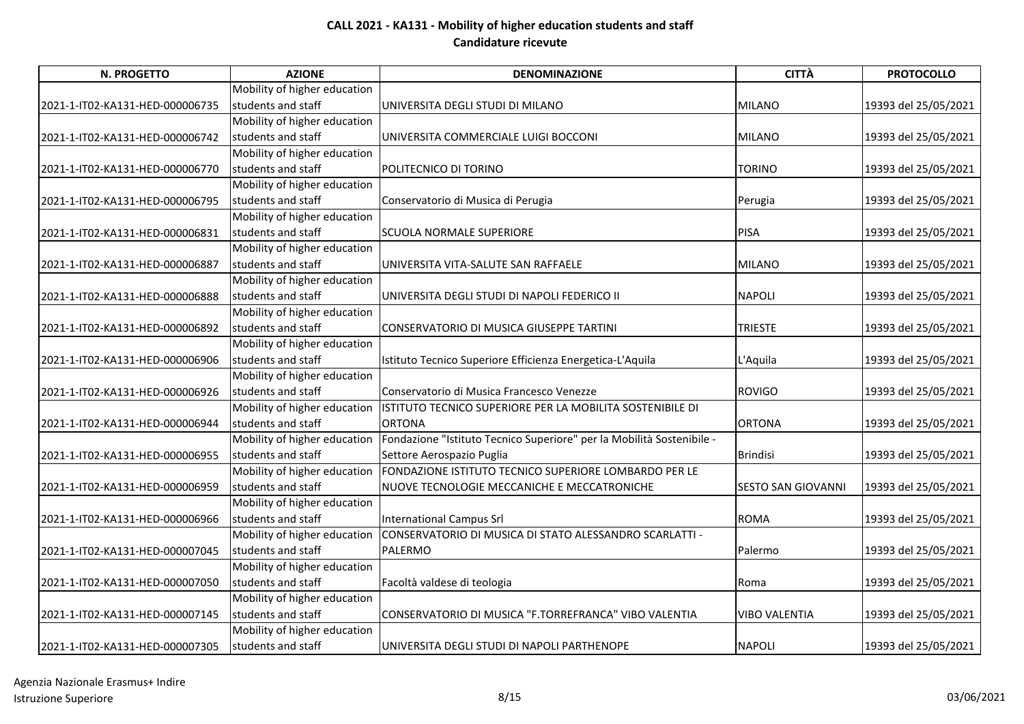| N. PROGETTO                     | <b>AZIONE</b>                | <b>DENOMINAZIONE</b>                                                  | <b>CITTÀ</b>              | <b>PROTOCOLLO</b>    |
|---------------------------------|------------------------------|-----------------------------------------------------------------------|---------------------------|----------------------|
|                                 | Mobility of higher education |                                                                       |                           |                      |
| 2021-1-IT02-KA131-HED-000006735 | students and staff           | UNIVERSITA DEGLI STUDI DI MILANO                                      | <b>MILANO</b>             | 19393 del 25/05/2021 |
|                                 | Mobility of higher education |                                                                       |                           |                      |
| 2021-1-IT02-KA131-HED-000006742 | students and staff           | UNIVERSITA COMMERCIALE LUIGI BOCCONI                                  | <b>MILANO</b>             | 19393 del 25/05/2021 |
|                                 | Mobility of higher education |                                                                       |                           |                      |
| 2021-1-IT02-KA131-HED-000006770 | students and staff           | POLITECNICO DI TORINO                                                 | TORINO                    | 19393 del 25/05/2021 |
|                                 | Mobility of higher education |                                                                       |                           |                      |
| 2021-1-IT02-KA131-HED-000006795 | students and staff           | Conservatorio di Musica di Perugia                                    | Perugia                   | 19393 del 25/05/2021 |
|                                 | Mobility of higher education |                                                                       |                           |                      |
| 2021-1-IT02-KA131-HED-000006831 | students and staff           | <b>SCUOLA NORMALE SUPERIORE</b>                                       | <b>PISA</b>               | 19393 del 25/05/2021 |
|                                 | Mobility of higher education |                                                                       |                           |                      |
| 2021-1-IT02-KA131-HED-000006887 | students and staff           | UNIVERSITA VITA-SALUTE SAN RAFFAELE                                   | <b>MILANO</b>             | 19393 del 25/05/2021 |
|                                 | Mobility of higher education |                                                                       |                           |                      |
| 2021-1-IT02-KA131-HED-000006888 | students and staff           | UNIVERSITA DEGLI STUDI DI NAPOLI FEDERICO II                          | <b>NAPOLI</b>             | 19393 del 25/05/2021 |
|                                 | Mobility of higher education |                                                                       |                           |                      |
| 2021-1-IT02-KA131-HED-000006892 | students and staff           | CONSERVATORIO DI MUSICA GIUSEPPE TARTINI                              | <b>TRIESTE</b>            | 19393 del 25/05/2021 |
|                                 | Mobility of higher education |                                                                       |                           |                      |
| 2021-1-IT02-KA131-HED-000006906 | students and staff           | Istituto Tecnico Superiore Efficienza Energetica-L'Aquila             | L'Aquila                  | 19393 del 25/05/2021 |
|                                 | Mobility of higher education |                                                                       |                           |                      |
| 2021-1-IT02-KA131-HED-000006926 | students and staff           | Conservatorio di Musica Francesco Venezze                             | <b>ROVIGO</b>             | 19393 del 25/05/2021 |
|                                 | Mobility of higher education | ISTITUTO TECNICO SUPERIORE PER LA MOBILITA SOSTENIBILE DI             |                           |                      |
| 2021-1-IT02-KA131-HED-000006944 | students and staff           | <b>ORTONA</b>                                                         | <b>ORTONA</b>             | 19393 del 25/05/2021 |
|                                 | Mobility of higher education | Fondazione "Istituto Tecnico Superiore" per la Mobilità Sostenibile - |                           |                      |
| 2021-1-IT02-KA131-HED-000006955 | students and staff           | Settore Aerospazio Puglia                                             | <b>Brindisi</b>           | 19393 del 25/05/2021 |
|                                 | Mobility of higher education | FONDAZIONE ISTITUTO TECNICO SUPERIORE LOMBARDO PER LE                 |                           |                      |
| 2021-1-IT02-KA131-HED-000006959 | students and staff           | NUOVE TECNOLOGIE MECCANICHE E MECCATRONICHE                           | <b>SESTO SAN GIOVANNI</b> | 19393 del 25/05/2021 |
|                                 | Mobility of higher education |                                                                       |                           |                      |
| 2021-1-IT02-KA131-HED-000006966 | students and staff           | <b>International Campus Srl</b>                                       | <b>ROMA</b>               | 19393 del 25/05/2021 |
|                                 | Mobility of higher education | CONSERVATORIO DI MUSICA DI STATO ALESSANDRO SCARLATTI -               |                           |                      |
| 2021-1-IT02-KA131-HED-000007045 | students and staff           | <b>PALERMO</b>                                                        | Palermo                   | 19393 del 25/05/2021 |
|                                 | Mobility of higher education |                                                                       |                           |                      |
| 2021-1-IT02-KA131-HED-000007050 | students and staff           | Facoltà valdese di teologia                                           | Roma                      | 19393 del 25/05/2021 |
|                                 | Mobility of higher education |                                                                       |                           |                      |
| 2021-1-IT02-KA131-HED-000007145 | students and staff           | CONSERVATORIO DI MUSICA "F.TORREFRANCA" VIBO VALENTIA                 | <b>VIBO VALENTIA</b>      | 19393 del 25/05/2021 |
|                                 | Mobility of higher education |                                                                       |                           |                      |
| 2021-1-IT02-KA131-HED-000007305 | students and staff           | UNIVERSITA DEGLI STUDI DI NAPOLI PARTHENOPE                           | <b>NAPOLI</b>             | 19393 del 25/05/2021 |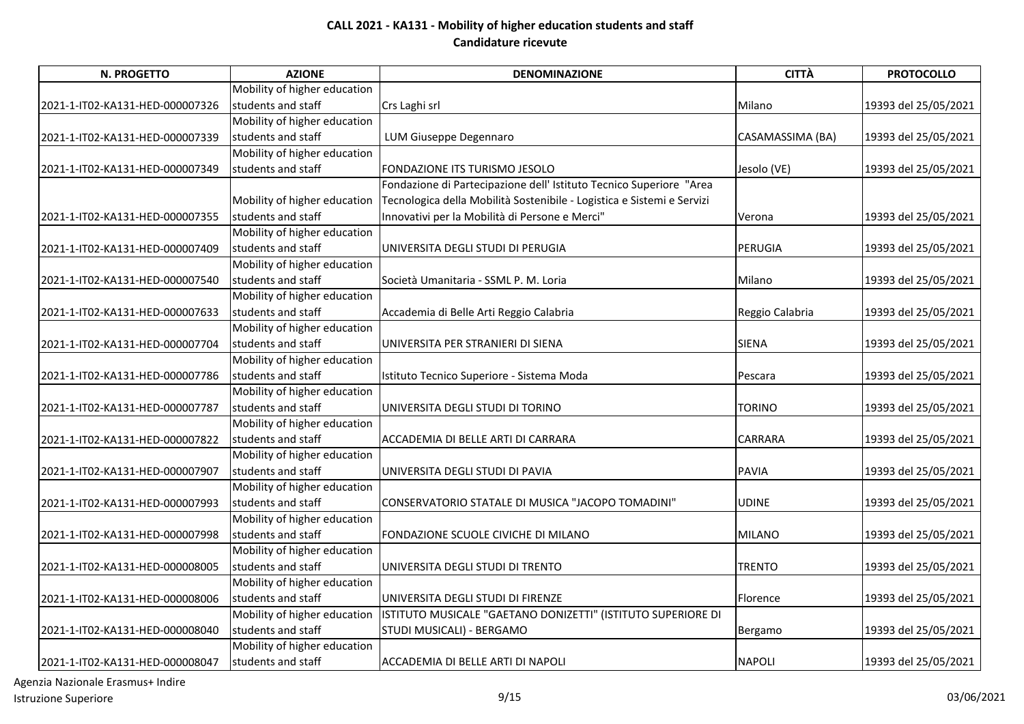| N. PROGETTO                     | <b>AZIONE</b>                | <b>DENOMINAZIONE</b>                                                   | <b>CITTÀ</b>     | <b>PROTOCOLLO</b>    |
|---------------------------------|------------------------------|------------------------------------------------------------------------|------------------|----------------------|
|                                 | Mobility of higher education |                                                                        |                  |                      |
| 2021-1-IT02-KA131-HED-000007326 | students and staff           | Crs Laghi srl                                                          | Milano           | 19393 del 25/05/2021 |
|                                 | Mobility of higher education |                                                                        |                  |                      |
| 2021-1-IT02-KA131-HED-000007339 | students and staff           | LUM Giuseppe Degennaro                                                 | CASAMASSIMA (BA) | 19393 del 25/05/2021 |
|                                 | Mobility of higher education |                                                                        |                  |                      |
| 2021-1-IT02-KA131-HED-000007349 | students and staff           | FONDAZIONE ITS TURISMO JESOLO                                          | Jesolo (VE)      | 19393 del 25/05/2021 |
|                                 |                              | Fondazione di Partecipazione dell' Istituto Tecnico Superiore "Area    |                  |                      |
|                                 | Mobility of higher education | Tecnologica della Mobilità Sostenibile - Logistica e Sistemi e Servizi |                  |                      |
| 2021-1-IT02-KA131-HED-000007355 | students and staff           | Innovativi per la Mobilità di Persone e Merci"                         | Verona           | 19393 del 25/05/2021 |
|                                 | Mobility of higher education |                                                                        |                  |                      |
| 2021-1-IT02-KA131-HED-000007409 | students and staff           | UNIVERSITA DEGLI STUDI DI PERUGIA                                      | PERUGIA          | 19393 del 25/05/2021 |
|                                 | Mobility of higher education |                                                                        |                  |                      |
| 2021-1-IT02-KA131-HED-000007540 | students and staff           | Società Umanitaria - SSML P. M. Loria                                  | Milano           | 19393 del 25/05/2021 |
|                                 | Mobility of higher education |                                                                        |                  |                      |
| 2021-1-IT02-KA131-HED-000007633 | students and staff           | Accademia di Belle Arti Reggio Calabria                                | Reggio Calabria  | 19393 del 25/05/2021 |
|                                 | Mobility of higher education |                                                                        |                  |                      |
| 2021-1-IT02-KA131-HED-000007704 | students and staff           | UNIVERSITA PER STRANIERI DI SIENA                                      | <b>SIENA</b>     | 19393 del 25/05/2021 |
|                                 | Mobility of higher education |                                                                        |                  |                      |
| 2021-1-IT02-KA131-HED-000007786 | students and staff           | Istituto Tecnico Superiore - Sistema Moda                              | Pescara          | 19393 del 25/05/2021 |
|                                 | Mobility of higher education |                                                                        |                  |                      |
| 2021-1-IT02-KA131-HED-000007787 | students and staff           | UNIVERSITA DEGLI STUDI DI TORINO                                       | TORINO           | 19393 del 25/05/2021 |
|                                 | Mobility of higher education |                                                                        |                  |                      |
| 2021-1-IT02-KA131-HED-000007822 | students and staff           | ACCADEMIA DI BELLE ARTI DI CARRARA                                     | <b>CARRARA</b>   | 19393 del 25/05/2021 |
|                                 | Mobility of higher education |                                                                        |                  |                      |
| 2021-1-IT02-KA131-HED-000007907 | students and staff           | UNIVERSITA DEGLI STUDI DI PAVIA                                        | <b>PAVIA</b>     | 19393 del 25/05/2021 |
|                                 | Mobility of higher education |                                                                        |                  |                      |
| 2021-1-IT02-KA131-HED-000007993 | students and staff           | CONSERVATORIO STATALE DI MUSICA "JACOPO TOMADINI"                      | <b>UDINE</b>     | 19393 del 25/05/2021 |
|                                 | Mobility of higher education |                                                                        |                  |                      |
| 2021-1-IT02-KA131-HED-000007998 | students and staff           | FONDAZIONE SCUOLE CIVICHE DI MILANO                                    | <b>MILANO</b>    | 19393 del 25/05/2021 |
|                                 | Mobility of higher education |                                                                        |                  |                      |
| 2021-1-IT02-KA131-HED-000008005 | students and staff           | UNIVERSITA DEGLI STUDI DI TRENTO                                       | <b>TRENTO</b>    | 19393 del 25/05/2021 |
|                                 | Mobility of higher education |                                                                        |                  |                      |
| 2021-1-IT02-KA131-HED-000008006 | students and staff           | UNIVERSITA DEGLI STUDI DI FIRENZE                                      | Florence         | 19393 del 25/05/2021 |
|                                 | Mobility of higher education | ISTITUTO MUSICALE "GAETANO DONIZETTI" (ISTITUTO SUPERIORE DI           |                  |                      |
| 2021-1-IT02-KA131-HED-000008040 | students and staff           | STUDI MUSICALI) - BERGAMO                                              | Bergamo          | 19393 del 25/05/2021 |
|                                 | Mobility of higher education |                                                                        |                  |                      |
| 2021-1-IT02-KA131-HED-000008047 | students and staff           | ACCADEMIA DI BELLE ARTI DI NAPOLI                                      | <b>NAPOLI</b>    | 19393 del 25/05/2021 |

Agenzia Nazionale Erasmus+ Indire Istruzione Superiore and the superiore of the state of the state of the state of the state of the state of the state of the state of the state of the state of the state of the state of the state of the state of the state o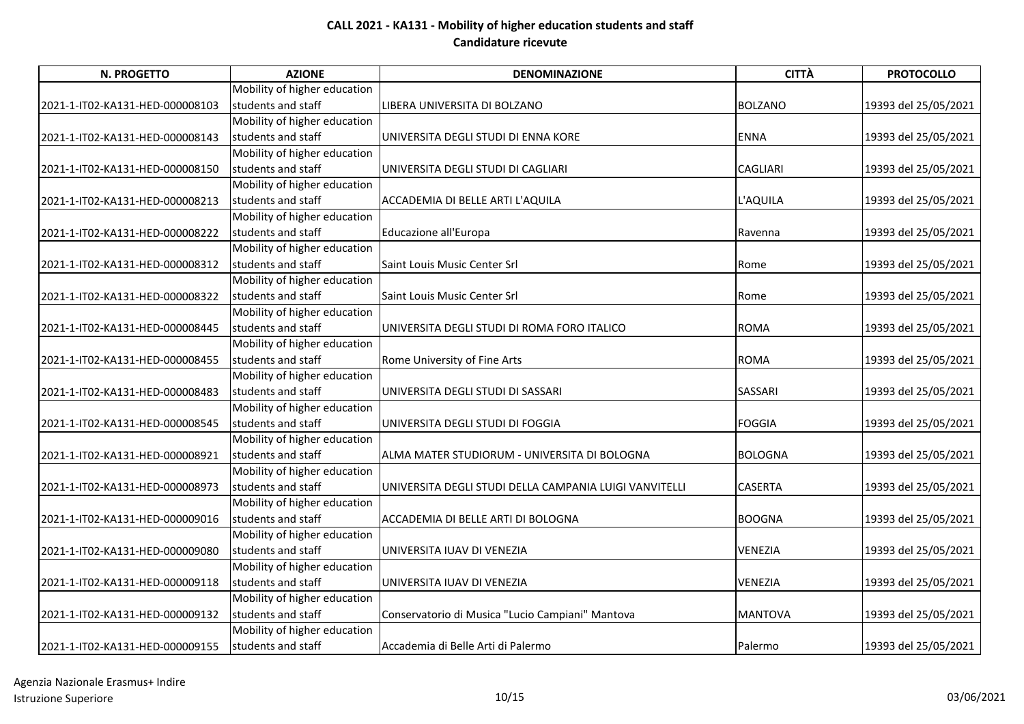| N. PROGETTO                     | <b>AZIONE</b>                | <b>DENOMINAZIONE</b>                                   | <b>CITTÀ</b>    | <b>PROTOCOLLO</b>    |
|---------------------------------|------------------------------|--------------------------------------------------------|-----------------|----------------------|
|                                 | Mobility of higher education |                                                        |                 |                      |
| 2021-1-IT02-KA131-HED-000008103 | students and staff           | LIBERA UNIVERSITA DI BOLZANO                           | <b>BOLZANO</b>  | 19393 del 25/05/2021 |
|                                 | Mobility of higher education |                                                        |                 |                      |
| 2021-1-IT02-KA131-HED-000008143 | students and staff           | UNIVERSITA DEGLI STUDI DI ENNA KORE                    | <b>ENNA</b>     | 19393 del 25/05/2021 |
|                                 | Mobility of higher education |                                                        |                 |                      |
| 2021-1-IT02-KA131-HED-000008150 | students and staff           | UNIVERSITA DEGLI STUDI DI CAGLIARI                     | <b>CAGLIARI</b> | 19393 del 25/05/2021 |
|                                 | Mobility of higher education |                                                        |                 |                      |
| 2021-1-IT02-KA131-HED-000008213 | students and staff           | ACCADEMIA DI BELLE ARTI L'AQUILA                       | L'AQUILA        | 19393 del 25/05/2021 |
|                                 | Mobility of higher education |                                                        |                 |                      |
| 2021-1-IT02-KA131-HED-000008222 | students and staff           | Educazione all'Europa                                  | Ravenna         | 19393 del 25/05/2021 |
|                                 | Mobility of higher education |                                                        |                 |                      |
| 2021-1-IT02-KA131-HED-000008312 | students and staff           | Saint Louis Music Center Srl                           | Rome            | 19393 del 25/05/2021 |
|                                 | Mobility of higher education |                                                        |                 |                      |
| 2021-1-IT02-KA131-HED-000008322 | students and staff           | Saint Louis Music Center Srl                           | Rome            | 19393 del 25/05/2021 |
|                                 | Mobility of higher education |                                                        |                 |                      |
| 2021-1-IT02-KA131-HED-000008445 | students and staff           | UNIVERSITA DEGLI STUDI DI ROMA FORO ITALICO            | <b>ROMA</b>     | 19393 del 25/05/2021 |
|                                 | Mobility of higher education |                                                        |                 |                      |
| 2021-1-IT02-KA131-HED-000008455 | students and staff           | Rome University of Fine Arts                           | <b>ROMA</b>     | 19393 del 25/05/2021 |
|                                 | Mobility of higher education |                                                        |                 |                      |
| 2021-1-IT02-KA131-HED-000008483 | students and staff           | UNIVERSITA DEGLI STUDI DI SASSARI                      | <b>SASSARI</b>  | 19393 del 25/05/2021 |
|                                 | Mobility of higher education |                                                        |                 |                      |
| 2021-1-IT02-KA131-HED-000008545 | students and staff           | UNIVERSITA DEGLI STUDI DI FOGGIA                       | <b>FOGGIA</b>   | 19393 del 25/05/2021 |
|                                 | Mobility of higher education |                                                        |                 |                      |
| 2021-1-IT02-KA131-HED-000008921 | students and staff           | ALMA MATER STUDIORUM - UNIVERSITA DI BOLOGNA           | <b>BOLOGNA</b>  | 19393 del 25/05/2021 |
|                                 | Mobility of higher education |                                                        |                 |                      |
| 2021-1-IT02-KA131-HED-000008973 | students and staff           | UNIVERSITA DEGLI STUDI DELLA CAMPANIA LUIGI VANVITELLI | <b>CASERTA</b>  | 19393 del 25/05/2021 |
|                                 | Mobility of higher education |                                                        |                 |                      |
| 2021-1-IT02-KA131-HED-000009016 | students and staff           | ACCADEMIA DI BELLE ARTI DI BOLOGNA                     | <b>BOOGNA</b>   | 19393 del 25/05/2021 |
|                                 | Mobility of higher education |                                                        |                 |                      |
| 2021-1-IT02-KA131-HED-000009080 | students and staff           | UNIVERSITA IUAV DI VENEZIA                             | <b>VENEZIA</b>  | 19393 del 25/05/2021 |
|                                 | Mobility of higher education |                                                        |                 |                      |
| 2021-1-IT02-KA131-HED-000009118 | students and staff           | UNIVERSITA IUAV DI VENEZIA                             | VENEZIA         | 19393 del 25/05/2021 |
|                                 | Mobility of higher education |                                                        |                 |                      |
| 2021-1-IT02-KA131-HED-000009132 | students and staff           | Conservatorio di Musica "Lucio Campiani" Mantova       | <b>MANTOVA</b>  | 19393 del 25/05/2021 |
|                                 | Mobility of higher education |                                                        |                 |                      |
| 2021-1-IT02-KA131-HED-000009155 | students and staff           | Accademia di Belle Arti di Palermo                     | Palermo         | 19393 del 25/05/2021 |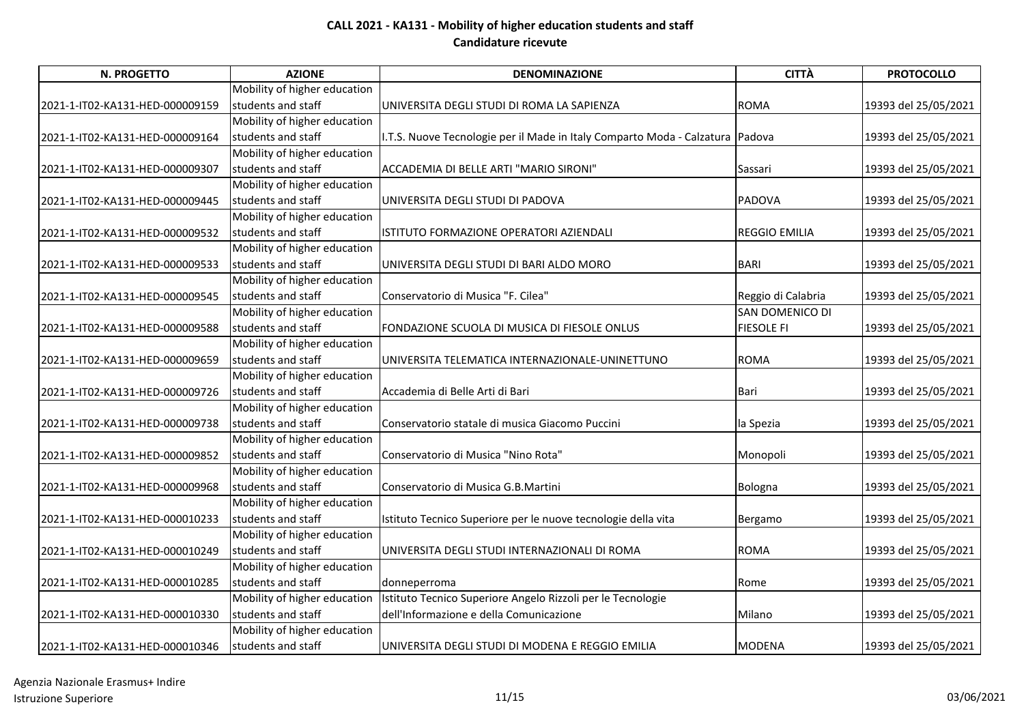| <b>N. PROGETTO</b>              | <b>AZIONE</b>                | <b>DENOMINAZIONE</b>                                                          | <b>CITTÀ</b>         | <b>PROTOCOLLO</b>    |
|---------------------------------|------------------------------|-------------------------------------------------------------------------------|----------------------|----------------------|
|                                 | Mobility of higher education |                                                                               |                      |                      |
| 2021-1-IT02-KA131-HED-000009159 | students and staff           | UNIVERSITA DEGLI STUDI DI ROMA LA SAPIENZA                                    | <b>ROMA</b>          | 19393 del 25/05/2021 |
|                                 | Mobility of higher education |                                                                               |                      |                      |
| 2021-1-IT02-KA131-HED-000009164 | students and staff           | I.T.S. Nuove Tecnologie per il Made in Italy Comparto Moda - Calzatura Padova |                      | 19393 del 25/05/2021 |
|                                 | Mobility of higher education |                                                                               |                      |                      |
| 2021-1-IT02-KA131-HED-000009307 | students and staff           | ACCADEMIA DI BELLE ARTI "MARIO SIRONI"                                        | Sassari              | 19393 del 25/05/2021 |
|                                 | Mobility of higher education |                                                                               |                      |                      |
| 2021-1-IT02-KA131-HED-000009445 | students and staff           | UNIVERSITA DEGLI STUDI DI PADOVA                                              | <b>PADOVA</b>        | 19393 del 25/05/2021 |
|                                 | Mobility of higher education |                                                                               |                      |                      |
| 2021-1-IT02-KA131-HED-000009532 | students and staff           | ISTITUTO FORMAZIONE OPERATORI AZIENDALI                                       | <b>REGGIO EMILIA</b> | 19393 del 25/05/2021 |
|                                 | Mobility of higher education |                                                                               |                      |                      |
| 2021-1-IT02-KA131-HED-000009533 | students and staff           | UNIVERSITA DEGLI STUDI DI BARI ALDO MORO                                      | <b>BARI</b>          | 19393 del 25/05/2021 |
|                                 | Mobility of higher education |                                                                               |                      |                      |
| 2021-1-IT02-KA131-HED-000009545 | students and staff           | Conservatorio di Musica "F. Cilea"                                            | Reggio di Calabria   | 19393 del 25/05/2021 |
|                                 | Mobility of higher education |                                                                               | SAN DOMENICO DI      |                      |
| 2021-1-IT02-KA131-HED-000009588 | students and staff           | FONDAZIONE SCUOLA DI MUSICA DI FIESOLE ONLUS                                  | <b>FIESOLE FI</b>    | 19393 del 25/05/2021 |
|                                 | Mobility of higher education |                                                                               |                      |                      |
| 2021-1-IT02-KA131-HED-000009659 | students and staff           | UNIVERSITA TELEMATICA INTERNAZIONALE-UNINETTUNO                               | <b>ROMA</b>          | 19393 del 25/05/2021 |
|                                 | Mobility of higher education |                                                                               |                      |                      |
| 2021-1-IT02-KA131-HED-000009726 | students and staff           | Accademia di Belle Arti di Bari                                               | Bari                 | 19393 del 25/05/2021 |
|                                 | Mobility of higher education |                                                                               |                      |                      |
| 2021-1-IT02-KA131-HED-000009738 | students and staff           | Conservatorio statale di musica Giacomo Puccini                               | la Spezia            | 19393 del 25/05/2021 |
|                                 | Mobility of higher education |                                                                               |                      |                      |
| 2021-1-IT02-KA131-HED-000009852 | students and staff           | Conservatorio di Musica "Nino Rota"                                           | Monopoli             | 19393 del 25/05/2021 |
|                                 | Mobility of higher education |                                                                               |                      |                      |
| 2021-1-IT02-KA131-HED-000009968 | students and staff           | Conservatorio di Musica G.B.Martini                                           | Bologna              | 19393 del 25/05/2021 |
|                                 | Mobility of higher education |                                                                               |                      |                      |
| 2021-1-IT02-KA131-HED-000010233 | students and staff           | Istituto Tecnico Superiore per le nuove tecnologie della vita                 | Bergamo              | 19393 del 25/05/2021 |
|                                 | Mobility of higher education |                                                                               |                      |                      |
| 2021-1-IT02-KA131-HED-000010249 | students and staff           | UNIVERSITA DEGLI STUDI INTERNAZIONALI DI ROMA                                 | <b>ROMA</b>          | 19393 del 25/05/2021 |
|                                 | Mobility of higher education |                                                                               |                      |                      |
| 2021-1-IT02-KA131-HED-000010285 | students and staff           | donneperroma                                                                  | Rome                 | 19393 del 25/05/2021 |
|                                 | Mobility of higher education | Istituto Tecnico Superiore Angelo Rizzoli per le Tecnologie                   |                      |                      |
| 2021-1-IT02-KA131-HED-000010330 | students and staff           | dell'Informazione e della Comunicazione                                       | Milano               | 19393 del 25/05/2021 |
|                                 | Mobility of higher education |                                                                               |                      |                      |
| 2021-1-IT02-KA131-HED-000010346 | students and staff           | UNIVERSITA DEGLI STUDI DI MODENA E REGGIO EMILIA                              | <b>MODENA</b>        | 19393 del 25/05/2021 |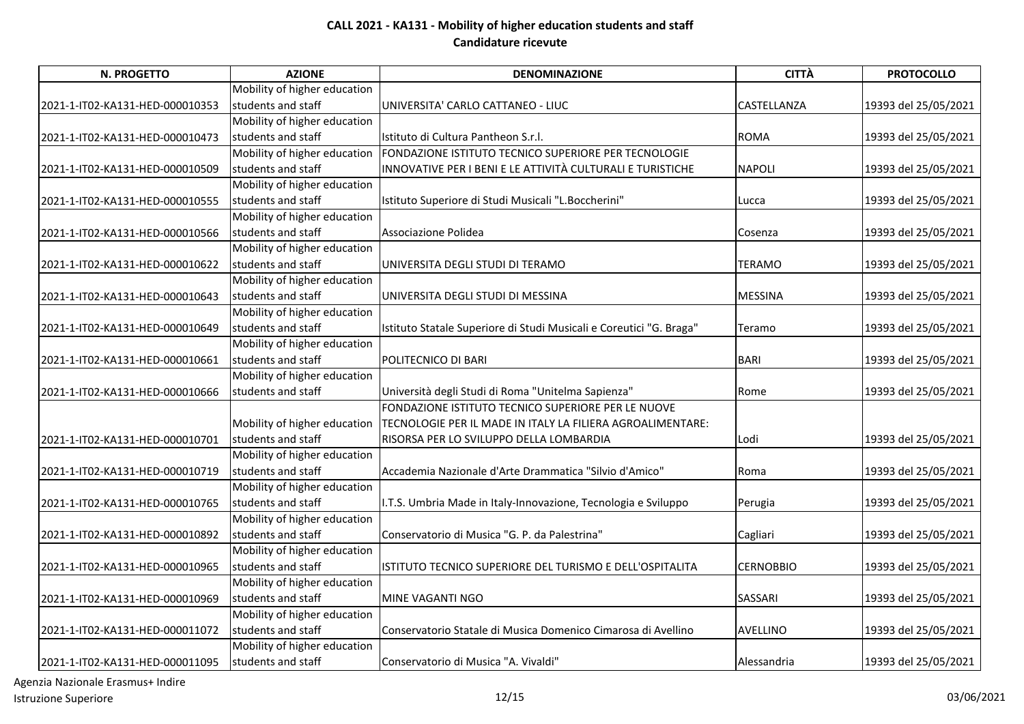| N. PROGETTO                     | <b>AZIONE</b>                | <b>DENOMINAZIONE</b>                                                | <b>CITTÀ</b>     | <b>PROTOCOLLO</b>    |
|---------------------------------|------------------------------|---------------------------------------------------------------------|------------------|----------------------|
|                                 | Mobility of higher education |                                                                     |                  |                      |
| 2021-1-IT02-KA131-HED-000010353 | students and staff           | UNIVERSITA' CARLO CATTANEO - LIUC                                   | CASTELLANZA      | 19393 del 25/05/2021 |
|                                 | Mobility of higher education |                                                                     |                  |                      |
| 2021-1-IT02-KA131-HED-000010473 | students and staff           | Istituto di Cultura Pantheon S.r.l.                                 | <b>ROMA</b>      | 19393 del 25/05/2021 |
|                                 | Mobility of higher education | FONDAZIONE ISTITUTO TECNICO SUPERIORE PER TECNOLOGIE                |                  |                      |
| 2021-1-IT02-KA131-HED-000010509 | students and staff           | INNOVATIVE PER I BENI E LE ATTIVITÀ CULTURALI E TURISTICHE          | <b>NAPOLI</b>    | 19393 del 25/05/2021 |
|                                 | Mobility of higher education |                                                                     |                  |                      |
| 2021-1-IT02-KA131-HED-000010555 | students and staff           | Istituto Superiore di Studi Musicali "L.Boccherini"                 | Lucca            | 19393 del 25/05/2021 |
|                                 | Mobility of higher education |                                                                     |                  |                      |
| 2021-1-IT02-KA131-HED-000010566 | students and staff           | Associazione Polidea                                                | Cosenza          | 19393 del 25/05/2021 |
|                                 | Mobility of higher education |                                                                     |                  |                      |
| 2021-1-IT02-KA131-HED-000010622 | students and staff           | UNIVERSITA DEGLI STUDI DI TERAMO                                    | <b>TERAMO</b>    | 19393 del 25/05/2021 |
|                                 | Mobility of higher education |                                                                     |                  |                      |
| 2021-1-IT02-KA131-HED-000010643 | students and staff           | UNIVERSITA DEGLI STUDI DI MESSINA                                   | <b>MESSINA</b>   | 19393 del 25/05/2021 |
|                                 | Mobility of higher education |                                                                     |                  |                      |
| 2021-1-IT02-KA131-HED-000010649 | students and staff           | Istituto Statale Superiore di Studi Musicali e Coreutici "G. Braga" | Teramo           | 19393 del 25/05/2021 |
|                                 | Mobility of higher education |                                                                     |                  |                      |
| 2021-1-IT02-KA131-HED-000010661 | students and staff           | POLITECNICO DI BARI                                                 | <b>BARI</b>      | 19393 del 25/05/2021 |
|                                 | Mobility of higher education |                                                                     |                  |                      |
| 2021-1-IT02-KA131-HED-000010666 | students and staff           | Università degli Studi di Roma "Unitelma Sapienza"                  | Rome             | 19393 del 25/05/2021 |
|                                 |                              | FONDAZIONE ISTITUTO TECNICO SUPERIORE PER LE NUOVE                  |                  |                      |
|                                 | Mobility of higher education | TECNOLOGIE PER IL MADE IN ITALY LA FILIERA AGROALIMENTARE:          |                  |                      |
| 2021-1-IT02-KA131-HED-000010701 | students and staff           | RISORSA PER LO SVILUPPO DELLA LOMBARDIA                             | Lodi             | 19393 del 25/05/2021 |
|                                 | Mobility of higher education |                                                                     |                  |                      |
| 2021-1-IT02-KA131-HED-000010719 | students and staff           | Accademia Nazionale d'Arte Drammatica "Silvio d'Amico"              | Roma             | 19393 del 25/05/2021 |
|                                 | Mobility of higher education |                                                                     |                  |                      |
| 2021-1-IT02-KA131-HED-000010765 | students and staff           | I.T.S. Umbria Made in Italy-Innovazione, Tecnologia e Sviluppo      | Perugia          | 19393 del 25/05/2021 |
|                                 | Mobility of higher education |                                                                     |                  |                      |
| 2021-1-IT02-KA131-HED-000010892 | students and staff           | Conservatorio di Musica "G. P. da Palestrina"                       | Cagliari         | 19393 del 25/05/2021 |
|                                 | Mobility of higher education |                                                                     |                  |                      |
| 2021-1-IT02-KA131-HED-000010965 | students and staff           | ISTITUTO TECNICO SUPERIORE DEL TURISMO E DELL'OSPITALITA            | <b>CERNOBBIO</b> | 19393 del 25/05/2021 |
|                                 | Mobility of higher education |                                                                     |                  |                      |
| 2021-1-IT02-KA131-HED-000010969 | students and staff           | MINE VAGANTI NGO                                                    | <b>SASSARI</b>   | 19393 del 25/05/2021 |
|                                 | Mobility of higher education |                                                                     |                  |                      |
| 2021-1-IT02-KA131-HED-000011072 | students and staff           | Conservatorio Statale di Musica Domenico Cimarosa di Avellino       | <b>AVELLINO</b>  | 19393 del 25/05/2021 |
|                                 | Mobility of higher education |                                                                     |                  |                      |
| 2021-1-IT02-KA131-HED-000011095 | students and staff           | Conservatorio di Musica "A. Vivaldi"                                | Alessandria      | 19393 del 25/05/2021 |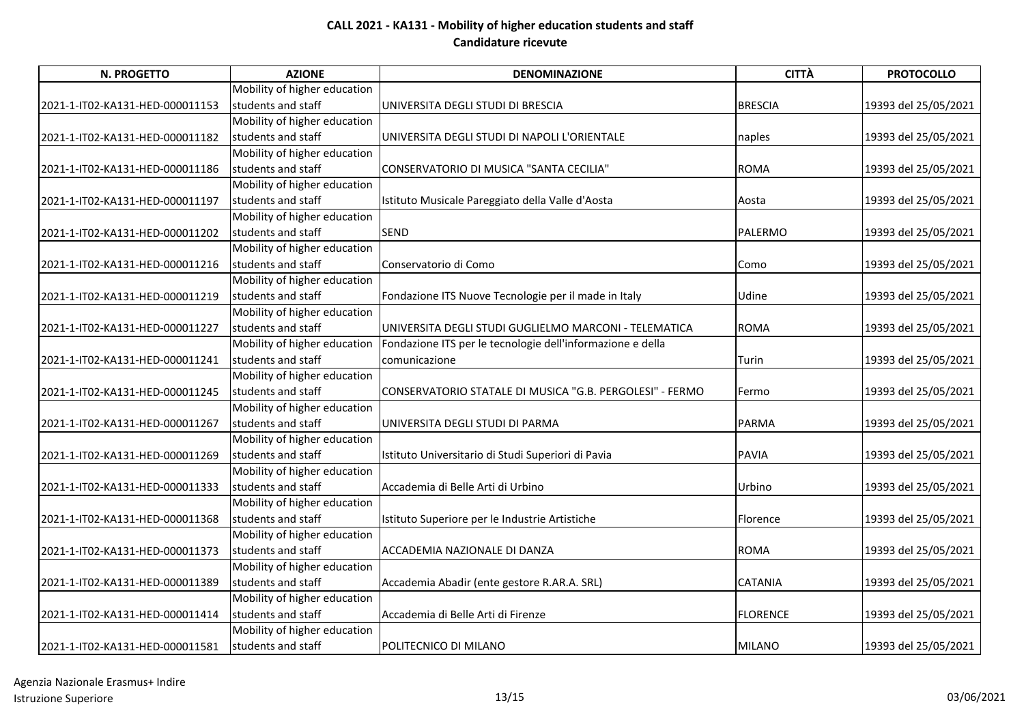| <b>N. PROGETTO</b>              | <b>AZIONE</b>                | <b>DENOMINAZIONE</b>                                       | <b>CITTÀ</b>    | <b>PROTOCOLLO</b>    |
|---------------------------------|------------------------------|------------------------------------------------------------|-----------------|----------------------|
|                                 | Mobility of higher education |                                                            |                 |                      |
| 2021-1-IT02-KA131-HED-000011153 | students and staff           | UNIVERSITA DEGLI STUDI DI BRESCIA                          | <b>BRESCIA</b>  | 19393 del 25/05/2021 |
|                                 | Mobility of higher education |                                                            |                 |                      |
| 2021-1-IT02-KA131-HED-000011182 | students and staff           | UNIVERSITA DEGLI STUDI DI NAPOLI L'ORIENTALE               | naples          | 19393 del 25/05/2021 |
|                                 | Mobility of higher education |                                                            |                 |                      |
| 2021-1-IT02-KA131-HED-000011186 | students and staff           | CONSERVATORIO DI MUSICA "SANTA CECILIA"                    | <b>ROMA</b>     | 19393 del 25/05/2021 |
|                                 | Mobility of higher education |                                                            |                 |                      |
| 2021-1-IT02-KA131-HED-000011197 | students and staff           | Istituto Musicale Pareggiato della Valle d'Aosta           | Aosta           | 19393 del 25/05/2021 |
|                                 | Mobility of higher education |                                                            |                 |                      |
| 2021-1-IT02-KA131-HED-000011202 | students and staff           | <b>SEND</b>                                                | PALERMO         | 19393 del 25/05/2021 |
|                                 | Mobility of higher education |                                                            |                 |                      |
| 2021-1-IT02-KA131-HED-000011216 | students and staff           | Conservatorio di Como                                      | Como            | 19393 del 25/05/2021 |
|                                 | Mobility of higher education |                                                            |                 |                      |
| 2021-1-IT02-KA131-HED-000011219 | students and staff           | Fondazione ITS Nuove Tecnologie per il made in Italy       | Udine           | 19393 del 25/05/2021 |
|                                 | Mobility of higher education |                                                            |                 |                      |
| 2021-1-IT02-KA131-HED-000011227 | students and staff           | UNIVERSITA DEGLI STUDI GUGLIELMO MARCONI - TELEMATICA      | <b>ROMA</b>     | 19393 del 25/05/2021 |
|                                 | Mobility of higher education | Fondazione ITS per le tecnologie dell'informazione e della |                 |                      |
| 2021-1-IT02-KA131-HED-000011241 | students and staff           | comunicazione                                              | Turin           | 19393 del 25/05/2021 |
|                                 | Mobility of higher education |                                                            |                 |                      |
| 2021-1-IT02-KA131-HED-000011245 | students and staff           | CONSERVATORIO STATALE DI MUSICA "G.B. PERGOLESI" - FERMO   | Fermo           | 19393 del 25/05/2021 |
|                                 | Mobility of higher education |                                                            |                 |                      |
| 2021-1-IT02-KA131-HED-000011267 | students and staff           | UNIVERSITA DEGLI STUDI DI PARMA                            | PARMA           | 19393 del 25/05/2021 |
|                                 | Mobility of higher education |                                                            |                 |                      |
| 2021-1-IT02-KA131-HED-000011269 | students and staff           | Istituto Universitario di Studi Superiori di Pavia         | <b>PAVIA</b>    | 19393 del 25/05/2021 |
|                                 | Mobility of higher education |                                                            |                 |                      |
| 2021-1-IT02-KA131-HED-000011333 | students and staff           | Accademia di Belle Arti di Urbino                          | Urbino          | 19393 del 25/05/2021 |
|                                 | Mobility of higher education |                                                            |                 |                      |
| 2021-1-IT02-KA131-HED-000011368 | students and staff           | Istituto Superiore per le Industrie Artistiche             | Florence        | 19393 del 25/05/2021 |
|                                 | Mobility of higher education |                                                            |                 |                      |
| 2021-1-IT02-KA131-HED-000011373 | students and staff           | ACCADEMIA NAZIONALE DI DANZA                               | <b>ROMA</b>     | 19393 del 25/05/2021 |
|                                 | Mobility of higher education |                                                            |                 |                      |
| 2021-1-IT02-KA131-HED-000011389 | students and staff           | Accademia Abadir (ente gestore R.AR.A. SRL)                | <b>CATANIA</b>  | 19393 del 25/05/2021 |
|                                 | Mobility of higher education |                                                            |                 |                      |
| 2021-1-IT02-KA131-HED-000011414 | students and staff           | Accademia di Belle Arti di Firenze                         | <b>FLORENCE</b> | 19393 del 25/05/2021 |
|                                 | Mobility of higher education |                                                            |                 |                      |
| 2021-1-IT02-KA131-HED-000011581 | students and staff           | POLITECNICO DI MILANO                                      | <b>MILANO</b>   | 19393 del 25/05/2021 |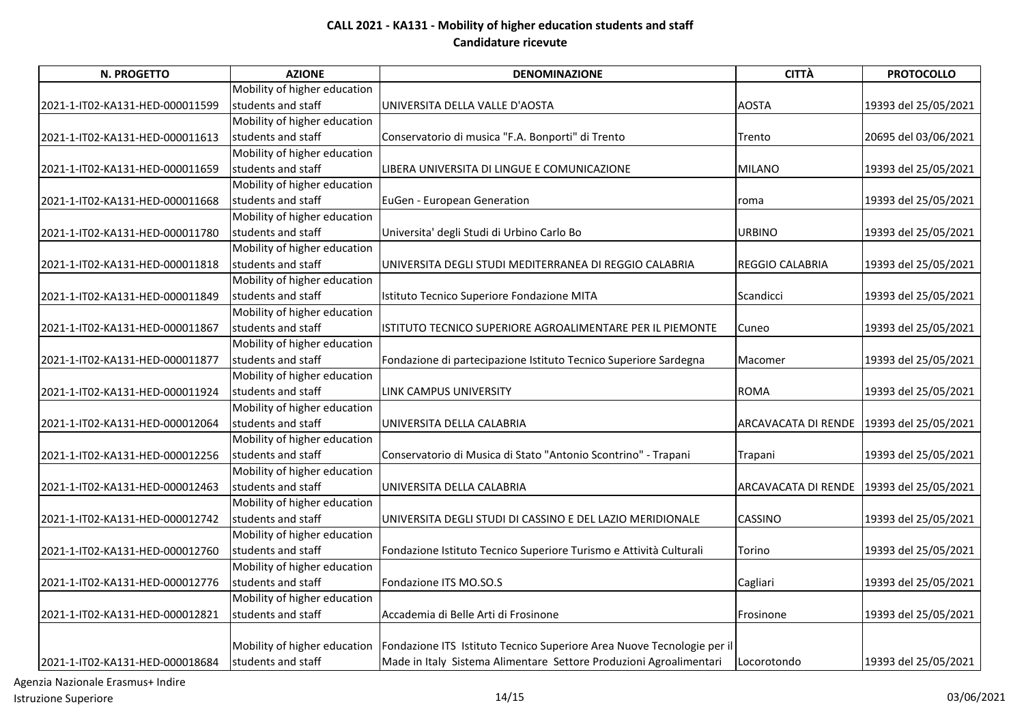| N. PROGETTO                     | <b>AZIONE</b>                | <b>DENOMINAZIONE</b>                                                   | <b>CITTÀ</b>                               | <b>PROTOCOLLO</b>    |
|---------------------------------|------------------------------|------------------------------------------------------------------------|--------------------------------------------|----------------------|
|                                 | Mobility of higher education |                                                                        |                                            |                      |
| 2021-1-IT02-KA131-HED-000011599 | students and staff           | UNIVERSITA DELLA VALLE D'AOSTA                                         | <b>AOSTA</b>                               | 19393 del 25/05/2021 |
|                                 | Mobility of higher education |                                                                        |                                            |                      |
| 2021-1-IT02-KA131-HED-000011613 | students and staff           | Conservatorio di musica "F.A. Bonporti" di Trento                      | Trento                                     | 20695 del 03/06/2021 |
|                                 | Mobility of higher education |                                                                        |                                            |                      |
| 2021-1-IT02-KA131-HED-000011659 | students and staff           | LIBERA UNIVERSITA DI LINGUE E COMUNICAZIONE                            | <b>MILANO</b>                              | 19393 del 25/05/2021 |
|                                 | Mobility of higher education |                                                                        |                                            |                      |
| 2021-1-IT02-KA131-HED-000011668 | students and staff           | EuGen - European Generation                                            | roma                                       | 19393 del 25/05/2021 |
|                                 | Mobility of higher education |                                                                        |                                            |                      |
| 2021-1-IT02-KA131-HED-000011780 | students and staff           | Universita' degli Studi di Urbino Carlo Bo                             | <b>URBINO</b>                              | 19393 del 25/05/2021 |
|                                 | Mobility of higher education |                                                                        |                                            |                      |
| 2021-1-IT02-KA131-HED-000011818 | students and staff           | UNIVERSITA DEGLI STUDI MEDITERRANEA DI REGGIO CALABRIA                 | <b>REGGIO CALABRIA</b>                     | 19393 del 25/05/2021 |
|                                 | Mobility of higher education |                                                                        |                                            |                      |
| 2021-1-IT02-KA131-HED-000011849 | students and staff           | Istituto Tecnico Superiore Fondazione MITA                             | Scandicci                                  | 19393 del 25/05/2021 |
|                                 | Mobility of higher education |                                                                        |                                            |                      |
| 2021-1-IT02-KA131-HED-000011867 | students and staff           | ISTITUTO TECNICO SUPERIORE AGROALIMENTARE PER IL PIEMONTE              | Cuneo                                      | 19393 del 25/05/2021 |
|                                 | Mobility of higher education |                                                                        |                                            |                      |
| 2021-1-IT02-KA131-HED-000011877 | students and staff           | Fondazione di partecipazione Istituto Tecnico Superiore Sardegna       | Macomer                                    | 19393 del 25/05/2021 |
|                                 | Mobility of higher education |                                                                        |                                            |                      |
| 2021-1-IT02-KA131-HED-000011924 | students and staff           | LINK CAMPUS UNIVERSITY                                                 | <b>ROMA</b>                                | 19393 del 25/05/2021 |
|                                 | Mobility of higher education |                                                                        |                                            |                      |
| 2021-1-IT02-KA131-HED-000012064 | students and staff           | UNIVERSITA DELLA CALABRIA                                              | ARCAVACATA DI RENDE 19393 del 25/05/2021   |                      |
|                                 | Mobility of higher education |                                                                        |                                            |                      |
| 2021-1-IT02-KA131-HED-000012256 | students and staff           | Conservatorio di Musica di Stato "Antonio Scontrino" - Trapani         | Trapani                                    | 19393 del 25/05/2021 |
|                                 | Mobility of higher education |                                                                        |                                            |                      |
| 2021-1-IT02-KA131-HED-000012463 | students and staff           | UNIVERSITA DELLA CALABRIA                                              | ARCAVACATA DI RENDE   19393 del 25/05/2021 |                      |
|                                 | Mobility of higher education |                                                                        |                                            |                      |
| 2021-1-IT02-KA131-HED-000012742 | students and staff           | UNIVERSITA DEGLI STUDI DI CASSINO E DEL LAZIO MERIDIONALE              | <b>CASSINO</b>                             | 19393 del 25/05/2021 |
|                                 | Mobility of higher education |                                                                        |                                            |                      |
| 2021-1-IT02-KA131-HED-000012760 | students and staff           | Fondazione Istituto Tecnico Superiore Turismo e Attività Culturali     | Torino                                     | 19393 del 25/05/2021 |
|                                 | Mobility of higher education |                                                                        |                                            |                      |
| 2021-1-IT02-KA131-HED-000012776 | students and staff           | Fondazione ITS MO.SO.S                                                 | Cagliari                                   | 19393 del 25/05/2021 |
|                                 | Mobility of higher education |                                                                        |                                            |                      |
| 2021-1-IT02-KA131-HED-000012821 | students and staff           | Accademia di Belle Arti di Frosinone                                   | Frosinone                                  | 19393 del 25/05/2021 |
|                                 |                              |                                                                        |                                            |                      |
|                                 | Mobility of higher education | Fondazione ITS Istituto Tecnico Superiore Area Nuove Tecnologie per il |                                            |                      |
| 2021-1-IT02-KA131-HED-000018684 | students and staff           | Made in Italy Sistema Alimentare Settore Produzioni Agroalimentari     | Locorotondo                                | 19393 del 25/05/2021 |